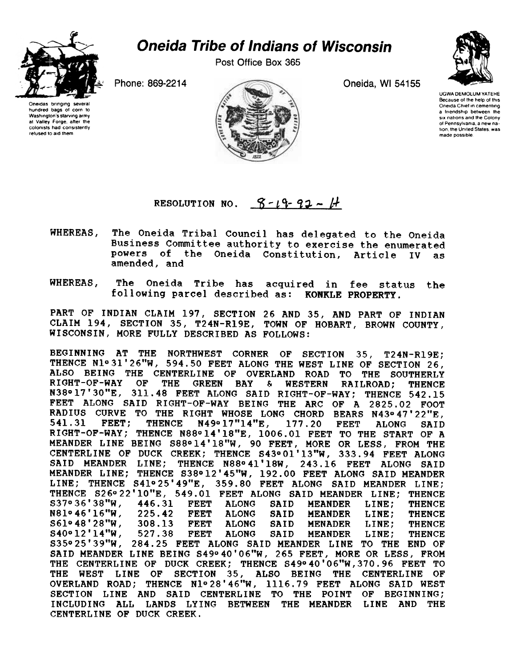

## Oneida Tribe of Indians of Wisconsin

Post Office Box 365

Oneidas bringing several hundred bags of corn to Washington's starving army at Valley Forge, after the<br>colonists had consistently refused to aid them





UGWA DEMOLUM YATEHE Because of the help of this Oneida Chief In cementing a friendship between the six nations and the Colony of Pennsylvania a new nation the United States was made possible

## RESOLUTION NO.  $8 - 19 - 97 - 14$

- The Oneida Tribal Council has delegated to the Oneida WHEREAS. Business Committee authority to exercise the enumerated powers of the Oneida Constitution, Article IV as amended, and
- WHEREAS, The Oneida Tribe has acquired in fee status the following parcel described as: KONKLE PROPERTY.

PART OF INDIAN CLAIM 197, SECTION 26 AND 35, AND PART OF INDIAN CLAIM 194, SECTION 35, T24N-R19E, TOWN OF HOBART, BROWN COUNTY, WISCONSIN, MORE FULLY DESCRIBED AS FOLLOWS:

BEGINNING AT THE NORTHWEST CORNER OF SECTION 35, T24N-R19E; THENCE N1°31'26"W, 594.50 FEET ALONG THE WEST LINE OF SECTION 26, ALSO BEING THE CENTERLINE OF OVERLAND ROAD TO THE SOUTHERLY RIGHT-OF-WAY OF THE GREEN BAY & WESTERN RAILROAD; THENCE N38°17'30"E, 311.48 FEET ALONG SAID RIGHT-OF-WAY; THENCE 542.15 FEET ALONG SAID RIGHT-OF-WAY BEING THE ARC OF A 2825.02 FOOT RADIUS CURVE TO THE RIGHT WHOSE LONG CHORD BEARS N43°47'22"E, 541.31 FEET; THENCE N49°17"14"E, 177.20 FEET ALONG SAID RIGHT-OF-WAY; THENCE N88°14'18"E, 1006.01 FEET TO THE START OF A MEANDER LINE BEING S88o14'18"W, 90 FEET, MORE OR LESS, FROM THE CENTERLINE OF DUCK CREEK; THENCE S43°01'13"W, 333.94 FEET ALONG SAID MEANDER LINE; THENCE N88°41'18W, 243.16 FEET ALONG SAID MEANDER LINE; THENCE S38o12'45"W, 192.00 FEET ALONG SAID MEANDER LINE; THENCE S41°25'49"E, 359.80 FEET ALONG SAID MEANDER LINE; THENCE S26°22'10"E, 549.01 FEET ALONG SAID MEANDER LINE; THENCE S37°36'38"W, 446.31 FEET ALONG SAID MEANDER LINE; THENCE N81o46'16"W, 225.42 FEET ALONG SAID MEANDER LINE; THENCE S61°48'28"W, 308.13 FEET ALONG SAID MENADER LINE; THENCE<br>S40°12'14"W, 527.38 FEET ALONG SAID MEANDER LINE; THENCE S40°12'14"W, 527.38 FEET ALONG SAID MEANDER LINE; THENCE<br>S35°25'39"W. 284.25 FEET ALONG SAID MEANDER LINE TO THE END OF 284.25 FEET ALONG SAID MEANDER LINE TO THE END OF SAID MEANDER LINE BEING S49°40'06"W, 265 FEET, MORE OR LESS, FROM THE CENTERLINE OF DUCK CREEK; THENCE S49°40'06"W,370.96 FEET TO THE WEST LINE OF SECTION 35, ALSO BEING THE CENTERLINE OF OVERLAND ROAD; THENCE N1o28'46"W, 1116.79 FEET ALONG SAID WEST SECTION LINE AND SAID CENTERLINE TO THE POINT OF BEGINNING; INCLUDING ALL LANDS LYING BETWEEN THE MEANDER LINE AND THE CENTERLINE OF DUCK CREEK.